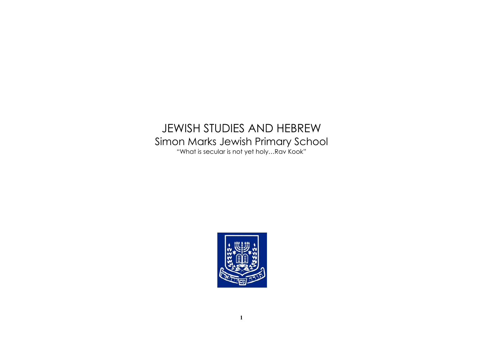# JEWISH STUDIES AND HEBREW Simon Marks Jewish Primary School "What is secular is not yet holy…Rav Kook"

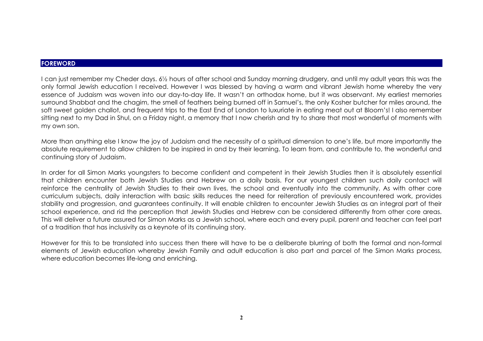#### **FOREWORD**

I can just remember my Cheder days. 6½ hours of after school and Sunday morning drudgery, and until my adult years this was the only formal Jewish education I received. However I was blessed by having a warm and vibrant Jewish home whereby the very essence of Judaism was woven into our day-to-day life. It wasn't an orthodox home, but it was observant. My earliest memories surround Shabbat and the chagim, the smell of feathers being burned off in Samuel's, the only Kosher butcher for miles around, the soft sweet golden challot, and frequent trips to the East End of London to luxuriate in eating meat out at Bloom's! I also remember sitting next to my Dad in Shul, on a Friday night, a memory that I now cherish and try to share that most wonderful of moments with my own son.

More than anything else I know the joy of Judaism and the necessity of a spiritual dimension to one's life, but more importantly the absolute requirement to allow children to be inspired in and by their learning. To learn from, and contribute to, the wonderful and continuing story of Judaism.

In order for all Simon Marks youngsters to become confident and competent in their Jewish Studies then it is absolutely essential that children encounter both Jewish Studies and Hebrew on a daily basis. For our youngest children such daily contact will reinforce the centrality of Jewish Studies to their own lives, the school and eventually into the community. As with other core curriculum subjects, daily interaction with basic skills reduces the need for reiteration of previously encountered work, provides stability and progression, and guarantees continuity. It will enable children to encounter Jewish Studies as an integral part of their school experience, and rid the perception that Jewish Studies and Hebrew can be considered differently from other core areas. This will deliver a future assured for Simon Marks as a Jewish school, where each and every pupil, parent and teacher can feel part of a tradition that has inclusivity as a keynote of its continuing story.

However for this to be translated into success then there will have to be a deliberate blurring of both the formal and non-formal elements of Jewish education whereby Jewish Family and adult education is also part and parcel of the Simon Marks process, where education becomes life-long and enriching.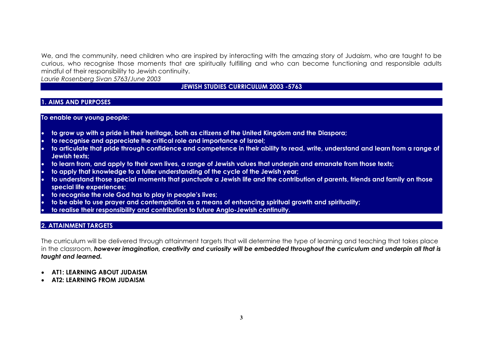We, and the community, need children who are inspired by interacting with the amazing story of Judaism, who are taught to be curious, who recognise those moments that are spiritually fulfilling and who can become functioning and responsible adults mindful of their responsibility to Jewish continuity.

*Laurie Rosenberg Sivan 5763/June 2003* 

# **JEWISH STUDIES CURRICULUM 2003 -5763**

# **1. AIMS AND PURPOSES**

## **To enable our young people:**

- **to grow up with a pride in their heritage, both as citizens of the United Kingdom and the Diaspora;**
- **to recognise and appreciate the critical role and importance of Israel;**
- **to articulate that pride through confidence and competence in their ability to read, write, understand and learn from a range of Jewish texts;**
- **to learn from, and apply to their own lives, a range of Jewish values that underpin and emanate from those texts;**
- **to apply that knowledge to a fuller understanding of the cycle of the Jewish year;**
- **to understand those special moments that punctuate a Jewish life and the contribution of parents, friends and family on those special life experiences;**
- **to recognise the role God has to play in people's lives;**
- **to be able to use prayer and contemplation as a means of enhancing spiritual growth and spirituality;**
- **to realise their responsibility and contribution to future Anglo-Jewish continuity.**

# **2. ATTAINMENT TARGETS**

The curriculum will be delivered through attainment targets that will determine the type of learning and teaching that takes place in the classroom, *however imagination, creativity and curiosity will be embedded throughout the curriculum and underpin all that is taught and learned.* 

- **AT1: LEARNING ABOUT JUDAISM**
- **AT2: LEARNING FROM JUDAISM**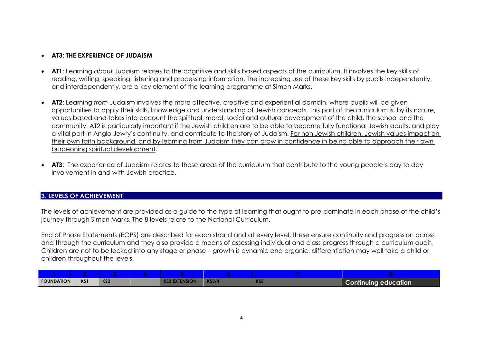# • **AT3: THE EXPERIENCE OF JUDAISM**

- **AT1**: Learning *about* Judaism relates to the cognitive and skills based aspects of the curriculum. It involves the key skills of reading, writing, speaking, listening and processing information. The increasing use of these key skills by pupils independently, and interdependently, are a key element of the learning programme at Simon Marks.
- **AT2**: Learning *from* Judaism involves the more affective, creative and experiential domain, where pupils will be given opportunities to apply their skills, knowledge and understanding of Jewish concepts. This part of the curriculum is, by its nature, values based and takes into account the spiritual, moral, social and cultural development of the child, the school and the community. AT2 is particularly important if the Jewish children are to be able to become fully functional Jewish adults, and play a vital part in Anglo Jewry's continuity, and contribute to the story of Judaism. For non Jewish children, Jewish values impact on their own faith background, and by learning from Judaism they can grow in confidence in being able to approach their own burgeoning spiritual development.
- **AT3**: The experience of Judaism relates to those areas of the curriculum that contribute to the young people's day to day involvement in and with Jewish practice.

# **3. LEVELS OF ACHIEVEMENT**

The levels of achievement are provided as a guide to the type of learning that ought to pre-dominate in each phase of the child's journey through Simon Marks. The 8 levels relate to the National Curriculum.

End of Phase Statements (EOPS) are described for each strand and at every level, these ensure continuity and progression across and through the curriculum and they also provide a means of assessing individual and class progress through a curriculum audit. Children are not to be locked into any stage or phase – growth is dynamic and organic, differentiation may well take a child or children throughout the levels.

| <b>FOUNDATION</b> | KS1 | KS <sub>2</sub> | <b>KS2 EXTENSION</b> | <b>KS3/4</b> | KS5 | <b>Continuing education</b> |
|-------------------|-----|-----------------|----------------------|--------------|-----|-----------------------------|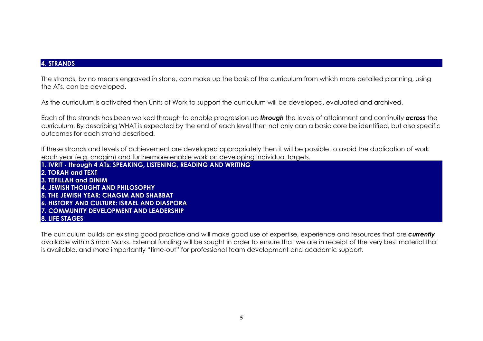# **4. STRANDS**

The strands, by no means engraved in stone, can make up the basis of the curriculum from which more detailed planning, using the ATs, can be developed.

As the curriculum is activated then Units of Work to support the curriculum will be developed, evaluated and archived.

Each of the strands has been worked through to enable progression up *through* the levels of attainment and continuity *across* the curriculum. By describing WHAT is expected by the end of each level then not only can a basic core be identified, but also specific outcomes for each strand described.

If these strands and levels of achievement are developed appropriately then it will be possible to avoid the duplication of work each year (e.g. chagim) and furthermore enable work on developing individual targets.

**1. IVRIT - through 4 ATs: SPEAKING, LISTENING, READING AND WRITING 2. TORAH and TEXT 3. TEFILLAH and DINIM 4. JEWISH THOUGHT AND PHILOSOPHY 5. THE JEWISH YEAR: CHAGIM AND SHABBAT 6. HISTORY AND CULTURE: ISRAEL AND DIASPORA 7. COMMUNITY DEVELOPMENT AND LEADERSHIP 8. LIFE STAGES**

The curriculum builds on existing good practice and will make good use of expertise, experience and resources that are *currently* available within Simon Marks. External funding will be sought in order to ensure that we are in receipt of the very best material that is available, and more importantly "time-out" for professional team development and academic support.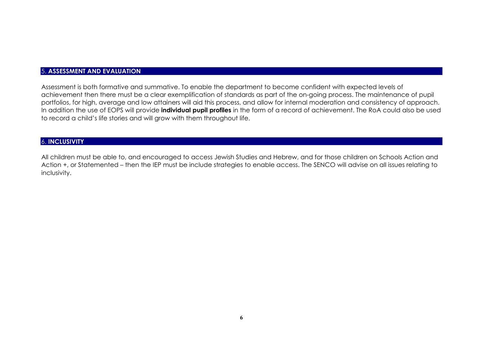### 5. **ASSESSMENT AND EVALUATION**

Assessment is both formative and summative. To enable the department to become confident with expected levels of achievement then there must be a clear exemplification of standards as part of the on-going process. The maintenance of pupil portfolios, for high, average and low attainers will aid this process, and allow for internal moderation and consistency of approach. In addition the use of EOPS will provide **individual pupil profiles** in the form of a record of achievement. The RoA could also be used to record a child's life stories and will grow with them throughout life.

#### 6. **INCLUSIVITY**

All children must be able to, and encouraged to access Jewish Studies and Hebrew, and for those children on Schools Action and Action +, or Statemented – then the IEP must be include strategies to enable access. The SENCO will advise on all issues relating to inclusivity.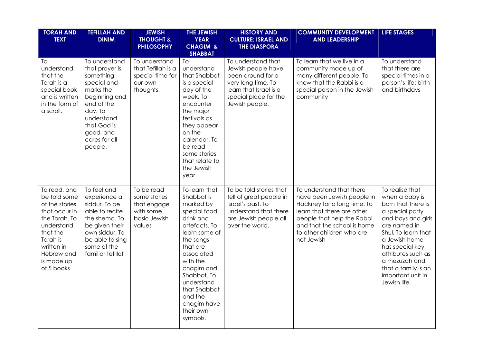| <b>TORAH AND</b><br><b>TEXT</b>                                                                                                                                                | <b>TEFILLAH AND</b><br><b>DINIM</b>                                                                                                                                                      | <b>JEWISH</b><br><b>THOUGHT &amp;</b><br><b>PHILOSOPHY</b>                       | <b>THE JEWISH</b><br><b>YEAR</b><br><b>CHAGIM &amp;</b>                                                                                                                                                                                                                   | <b>HISTORY AND</b><br><b>CULTURE: ISRAEL AND</b><br><b>THE DIASPORA</b>                                                                                  | <b>COMMUNITY DEVELOPMENT</b><br><b>AND LEADERSHIP</b>                                                                                                                                                                       | LIFE STAGES                                                                                                                                                                                                                                                                    |
|--------------------------------------------------------------------------------------------------------------------------------------------------------------------------------|------------------------------------------------------------------------------------------------------------------------------------------------------------------------------------------|----------------------------------------------------------------------------------|---------------------------------------------------------------------------------------------------------------------------------------------------------------------------------------------------------------------------------------------------------------------------|----------------------------------------------------------------------------------------------------------------------------------------------------------|-----------------------------------------------------------------------------------------------------------------------------------------------------------------------------------------------------------------------------|--------------------------------------------------------------------------------------------------------------------------------------------------------------------------------------------------------------------------------------------------------------------------------|
| To<br>understand<br>that the<br>Torah is a<br>special book<br>and is written<br>in the form of<br>a scroll.                                                                    | To understand<br>that prayer is<br>something<br>special and<br>marks the<br>beginning and<br>end of the<br>day. To<br>understand<br>that God is<br>good, and<br>cares for all<br>people. | To understand<br>that Tefillah is a<br>special time for<br>our own<br>thoughts.  | <b>SHABBAT</b><br>To<br>understand<br>that Shabbat<br>is a special<br>day of the<br>week. To<br>encounter<br>the major<br>festivals as<br>they appear<br>on the<br>calendar. To<br>be read<br>some stories<br>that relate to<br>the Jewish<br>year                        | To understand that<br>Jewish people have<br>been around for a<br>very long time. To<br>learn that Israel is a<br>special place for the<br>Jewish people. | To learn that we live in a<br>community made up of<br>many different people. To<br>know that the Rabbi is a<br>special person in the Jewish<br>community                                                                    | To understand<br>that there are<br>special times in a<br>person's life: birth<br>and birthdays                                                                                                                                                                                 |
| To read, and<br>be told some<br>of the stories<br>that occur in<br>the Torah. To<br>understand<br>that the<br>Torah is<br>written in<br>Hebrew and<br>is made up<br>of 5 books | To feel and<br>experience a<br>siddur. To be<br>able to recite<br>the shema. To<br>be given their<br>own siddur. To<br>be able to sing<br>some of the<br>familiar tefillot               | To be read<br>some stories<br>that engage<br>with some<br>basic Jewish<br>values | To learn that<br>Shabbat is<br>marked by<br>special food,<br>drink and<br>artefacts. To<br>learn some of<br>the songs<br>that are<br>associated<br>with the<br>chagim and<br>Shabbat. To<br>understand<br>that Shabbat<br>and the<br>chagim have<br>their own<br>symbols. | To be told stories that<br>tell of great people in<br>Israel's past. To<br>understand that there<br>are Jewish people all<br>over the world.             | To understand that there<br>have been Jewish people in<br>Hackney for a long time. To<br>learn that there are other<br>people that help the Rabbi<br>and that the school is home<br>to other children who are<br>not Jewish | To realise that<br>when a baby is<br>born that there is<br>a special party<br>and boys and girls<br>are named in<br>Shul. To learn that<br>a Jewish home<br>has special key<br>attributes such as<br>a mezuzah and<br>that a family is an<br>important unit in<br>Jewish life. |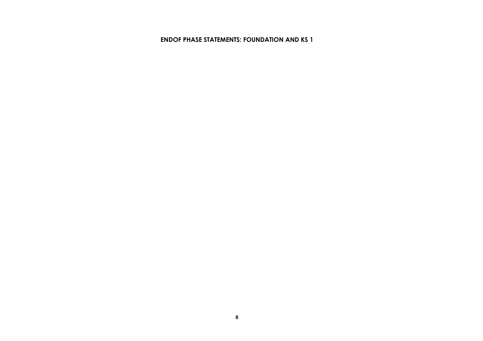#### **ENDOF PHASE STATEMENTS: FOUNDATION AND KS 1**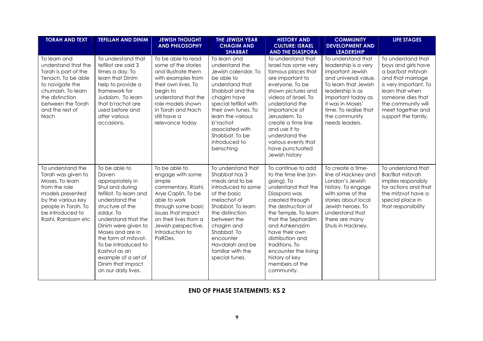| <b>TORAH AND TEXT</b>                                                                                                                                                                        | <b>TEFILLAH AND DINIM</b>                                                                                                                                                                                                                                                                                                                        | <b>JEWISH THOUGHT</b><br><b>AND PHILOSOPHY</b>                                                                                                                                                                                    | THE JEWISH YEAR<br><b>CHAGIM AND</b><br><b>SHABBAT</b>                                                                                                                                                                                                                       | <b>HISTORY AND</b><br><b>CULTURE: ISRAEL</b><br><b>AND THE DIASPORA</b>                                                                                                                                                                                                                                                                     | <b>COMMUNITY</b><br><b>DEVELOPMENT AND</b><br><b>LEADERSHIP</b>                                                                                                                                                                          | <b>LIFE STAGES</b>                                                                                                                                                                                                     |
|----------------------------------------------------------------------------------------------------------------------------------------------------------------------------------------------|--------------------------------------------------------------------------------------------------------------------------------------------------------------------------------------------------------------------------------------------------------------------------------------------------------------------------------------------------|-----------------------------------------------------------------------------------------------------------------------------------------------------------------------------------------------------------------------------------|------------------------------------------------------------------------------------------------------------------------------------------------------------------------------------------------------------------------------------------------------------------------------|---------------------------------------------------------------------------------------------------------------------------------------------------------------------------------------------------------------------------------------------------------------------------------------------------------------------------------------------|------------------------------------------------------------------------------------------------------------------------------------------------------------------------------------------------------------------------------------------|------------------------------------------------------------------------------------------------------------------------------------------------------------------------------------------------------------------------|
| To learn and<br>understand that the<br>Torah is part of the<br>Tenach. To be able<br>to navigate the<br>chumash. To learn<br>the distinction<br>between the Torah<br>and the rest of<br>Nach | To understand that<br>tefillot are said 3<br>times a day. To<br>learn that Dinim<br>help to provide a<br>framework for<br>Judaism. To learn<br>that b'rachot are<br>used before and<br>after various<br>occasions.                                                                                                                               | To be able to read<br>some of the stories<br>and illustrate them<br>with examples from<br>their own lives. To<br>begin to<br>understand that the<br>role models shown<br>in Torah and Nach<br>still have a<br>relevance today     | To learn and<br>understand the<br>Jewish calendar. To<br>be able to<br>understand that<br>Shabbat and the<br>chagim have<br>special tefillot with<br>their own tunes. To<br>learn the various<br>b'rachot<br>associated with<br>Shabbat. To be<br>introduced to<br>bensching | To understand that<br>Israel has some very<br>famous places that<br>are important to<br>everyone. To be<br>shown pictures and<br>videos of Israel. To<br>understand the<br>importance of<br>Jerusalem. To<br>create a time line<br>and use it to<br>understand the<br>various events that<br>have punctuated<br>Jewish history              | To understand that<br>leadership is a very<br>important Jewish<br>and universal value.<br>To learn that Jewish<br>leadership is as<br>important today as<br>it was in Moses'<br>time. To realise that<br>the community<br>needs leaders. | To understand that<br>boys and girls have<br>a bar/bat mitzvah<br>and that marriage<br>is very important. To<br>learn that when<br>someone dies that<br>the community will<br>meet together and<br>support the family. |
| To understand the<br>Torah was given to<br>Moses. To learn<br>from the role<br>models presented<br>by the various key<br>people in Torah. To<br>be introduced to<br>Rashi, Rambam etc        | To be able to<br>Daven<br>appropriately in<br>Shul and during<br>tefillot. To learn and<br>understand the<br>structure of the<br>siddur. To<br>understand that the<br>Dinim were given to<br>Moses and are in<br>the form of mitzvot.<br>To be introduced to<br>Kashrut as an<br>example of a set of<br>Dinim that impact<br>on our daily lives. | To be able to<br>engage with some<br>simple<br>commentary, Rashi,<br>Arye Caplin. To be<br>able to work<br>through some basic<br>issues that impact<br>on their lives from a<br>Jewish perspective.<br>Introduction to<br>PaRDes. | To understand that<br>Shabbat has 3<br>meals and to be<br>introduced to some<br>of the basic<br>melachot of<br>Shabbat. To learn<br>the distinction<br>between the<br>chagim and<br>Shabbat. To<br>encounter<br>Havdalah and be<br>familiar with the<br>special tunes.       | To continue to add<br>to the time line (on-<br>going). To<br>understand that the<br>Diaspora was<br>created through<br>the destruction of<br>the Temple. To learn<br>that the Sephardim<br>and Ashkenazim<br>have their own<br>distribution and<br>traditions, To<br>encounter the living<br>history of key<br>members of the<br>community. | To create a time-<br>line of Hackney and<br>London's Jewish<br>history. To engage<br>with some of the<br>stories about local<br>Jewish heroes. To<br>understand that<br>there are many<br>Shuls in Hackney.                              | To understand that<br>Bar/Bat mitzvah<br>implies responsibly<br>for actions and that<br>the mitzvot have a<br>special place in<br>that responsibility                                                                  |

## **END OF PHASE STATEMENTS: KS 2**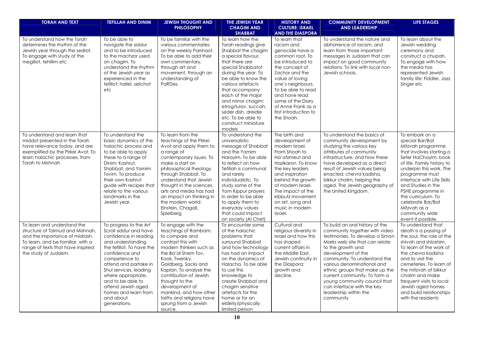| <b>TORAH AND TEXT</b>                                                                                                                                                                                | <b>TEFILLAH AND DINIM</b>                                                                                                                                                                                                                                                                                                               | <b>JEWISH THOUGHT AND</b><br><b>PHILOSOPHY</b>                                                                                                                                                                                                                                                                                                                  | THE JEWISH YEAR<br><b>CHAGIM AND</b><br><b>SHABBAT</b>                                                                                                                                                                                                                                                                                                          | <b>HISTORY AND</b><br><b>CULTURE: ISRAEL</b><br><b>AND THE DIASPORA</b>                                                                                                                                                                                                                    | <b>COMMUNITY DEVELOPMENT</b><br><b>AND LEADERSHIP</b>                                                                                                                                                                                                                                                                                                                                                                | <b>LIFE STAGES</b>                                                                                                                                                                                                                                                                                                                                                |
|------------------------------------------------------------------------------------------------------------------------------------------------------------------------------------------------------|-----------------------------------------------------------------------------------------------------------------------------------------------------------------------------------------------------------------------------------------------------------------------------------------------------------------------------------------|-----------------------------------------------------------------------------------------------------------------------------------------------------------------------------------------------------------------------------------------------------------------------------------------------------------------------------------------------------------------|-----------------------------------------------------------------------------------------------------------------------------------------------------------------------------------------------------------------------------------------------------------------------------------------------------------------------------------------------------------------|--------------------------------------------------------------------------------------------------------------------------------------------------------------------------------------------------------------------------------------------------------------------------------------------|----------------------------------------------------------------------------------------------------------------------------------------------------------------------------------------------------------------------------------------------------------------------------------------------------------------------------------------------------------------------------------------------------------------------|-------------------------------------------------------------------------------------------------------------------------------------------------------------------------------------------------------------------------------------------------------------------------------------------------------------------------------------------------------------------|
| To understand how the Torah<br>determines the rhythm of the<br>Jewish year through the sedrot.<br>To engage with study of the<br>megillot, tehillim etc                                              | To be able to<br>navigate the siddur<br>and to be introduced<br>to the machzor used<br>on chagim. To<br>understand the rhythm<br>of the Jewish year as<br>experienced in the<br>tefillot: hallel, selichot<br>etc                                                                                                                       | To be familiar with the<br>various commentaries<br>on the weekly Parshaot.<br>To be able to add their<br>own commentary,<br>through art and<br>movement, through an<br>understanding of<br>PaRDes.                                                                                                                                                              | To learn how the<br>Torah readings give<br>Shabbat the chagim<br>a special flavour,<br>that there are<br>special Shabbatot<br>during the year. To<br>be able to know the<br>various artefacts<br>that accompany<br>each of the major<br>and minor chagim:<br>etrog/lulav, succah,<br>seder dish, dreidle<br>etc. To be able to<br>construct miniature<br>models | To learn that<br>racism and<br>genocide have a<br>common root. To<br>be introduced to<br>the concept of<br>Zachor and the<br>value of loving<br>one's neighbours.<br>To be able to read<br>and have read<br>some of the Diary<br>of Anne Frank as a<br>first introduction to<br>the Shoah. | To understand the nature and<br>abhorrence of racism, and<br>learn from those important<br>messages in Judaism that can<br>impact on good community<br>relations. To link with local non-<br>Jewish schools.                                                                                                                                                                                                         | To learn about the<br>Jewish wedding<br>ceremony and<br>construct a chupah.<br>To engage with how<br>the media has<br>represented Jewish<br>family life: Fiddler, Jazz<br>Singer etc                                                                                                                                                                              |
| To understand and learn that<br>middot presented in the Torah<br>have relevance today, and are<br>exemplified by the Pirkei Avot. To<br>learn halachic processes, from<br>Torah to Mishnah           | To understand the<br>basic dynamics of the<br>halachic process and<br>to be able to apply<br>these to a range of<br>Dinim: Kashrut,<br>Shabbat, and Yamim<br>Tovim. To produce<br>their own Kashrut<br>guide with recipes that<br>relate to the various<br>landmarks in the<br>Jewish year.                                             | To learn from the<br>teachings of the Pirkei<br>Avot and apply them to<br>a range of<br>contemporary issues. To<br>make a start on<br>philosophical theology<br>through Shabbat. To<br>understand that Jewish<br>thought in the sciences,<br>arts and media has had<br>an impact on thinking in<br>the modern world:<br>Einstein, Chagall,<br>Spielberg         | To understand the<br>universalistic<br>message of Shabbat<br>and the Yamim<br>Narayim. To be able<br>to reflect on how<br>Tefillah is communal<br>and rarely<br>individualistic. To<br>study some of the<br>Yom Kippur prayers<br>in order to be able<br>to apply them to<br>everyday values<br>that could impact<br>on society (Al Chet)                       | The birth and<br>development of<br>modern Israel.<br>From Shoah to<br>Ha'atzmeut and<br>Hazikaron. To know<br>the key leaders<br>and inspiration<br>behind the growth<br>of modern Israel.<br>The impact of the<br>kibbutz movement<br>on art, song and<br>music in modern<br>Israel.      | To understand the basics of<br>community development by<br>studying the various key<br>attributes of community<br>infrastructure, and how these<br>have developed as a direct<br>result of Jewish values being<br>enacted: chevra kadisha,<br>bikkur cholim, helping the<br>aged. The Jewish geography of<br>the United Kingdom.                                                                                     | To embark on a<br>special Bar/Bat<br>Mitzvah programme<br>that involves starting a<br>Sefer HaChayim: book<br>of life. Family history to<br>underpin this work. The<br>programme must<br>interface with Life Skills<br>and Studies in the<br>PSHE programme in<br>the curriculum. To<br>celebrate Bar/Bat<br>Mitzvah as a<br>community wide<br>event if possible. |
| To learn and understand the<br>structure of Talmud and Mishnah,<br>and the importance of midrash.<br>To learn, and be familiar, with a<br>range of texts that have inspired<br>the study of Judaism. | To progress to the Art<br>Scroll siddur and have<br>confidence in reading<br>and understanding<br>the tefillot. To have the<br>confidence and<br>competence to<br>attend and partake in<br>Shul services, leading<br>where appropriate,<br>and to be able to<br>attend Jewish aged<br>homes and learn from<br>and about<br>generations. | To engage with the<br>teachings of Rambam,<br>to compare and<br>contrast this with<br>modern thinkers such as<br>the Ba'al Shem Tov,<br>Kook, Twersky,<br>Goldberg, Sacks and<br>Kaplan. To analyse the<br>contribution of Jewish<br>thought to the<br>development of<br>mankind, and how other<br>faiths and religions have<br>sprung from a Jewish<br>source. | To encounter some<br>of the halachic<br>problems that<br>surround Shabbat<br>and how technology<br>has had an impact<br>on the dynamics of<br>Halacha. To be able<br>to use this<br>knowledge to<br>create Shabbat and<br>chagim sensitive<br>artefacts for the<br>home or for an<br>elderly/physically<br>limited person                                       | Cultural and<br>religious diversity in<br>Israel and how this<br>has shaped<br>current affairs in<br>the Middle East.<br>Jewish continuity in<br>the Diaspora:<br>growth and<br>decline.                                                                                                   | To build an oral history of the<br>community together with video<br>testimonies. To develop a Simon<br>Marks web site that can relate<br>to the growth and<br>development of the<br>community. To understand the<br>various denominational and<br>ethnic groups that make up the<br>current community. To form a<br>young community council that<br>can interface with the key<br>leadership within the<br>community | To understand that<br>death is a passing of<br>the soul, the role of the<br>shivah and shloshim.<br>To learn of the work of<br>the chevra kadisha<br>and to visit the<br>cemeteries. To learn of<br>the mitzvah of bikkur<br>cholim and make<br>frequent visits to local<br>Jewish aged homes<br>and build relationships<br>with the residents                    |